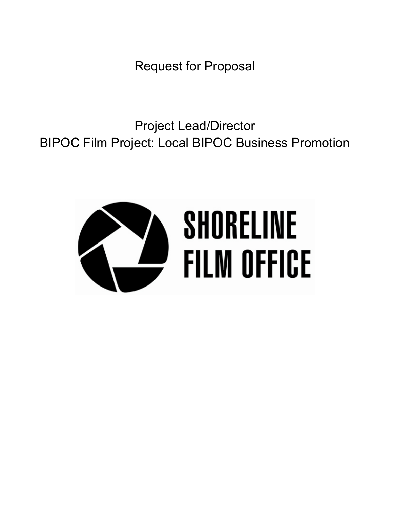Request for Proposal

Project Lead/Director BIPOC Film Project: Local BIPOC Business Promotion

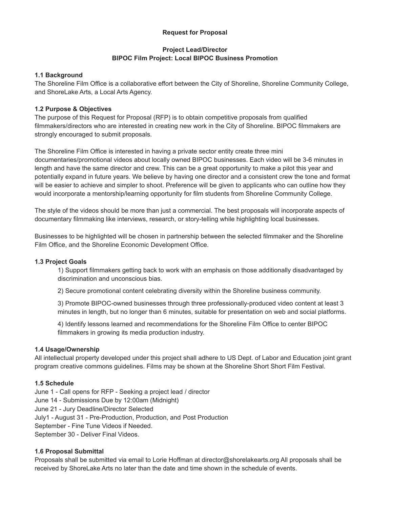### **Request for Proposal**

### **Project Lead/Director BIPOC Film Project: Local BIPOC Business Promotion**

### **1.1 Background**

The Shoreline Film Office is a collaborative effort between the City of Shoreline, Shoreline Community College, and ShoreLake Arts, a Local Arts Agency.

## **1.2 Purpose & Objectives**

The purpose of this Request for Proposal (RFP) is to obtain competitive proposals from qualified filmmakers/directors who are interested in creating new work in the City of Shoreline. BIPOC filmmakers are strongly encouraged to submit proposals.

The Shoreline Film Office is interested in having a private sector entity create three mini documentaries/promotional videos about locally owned BIPOC businesses. Each video will be 3-6 minutes in length and have the same director and crew. This can be a great opportunity to make a pilot this year and potentially expand in future years. We believe by having one director and a consistent crew the tone and format will be easier to achieve and simpler to shoot. Preference will be given to applicants who can outline how they would incorporate a mentorship/learning opportunity for film students from Shoreline Community College.

The style of the videos should be more than just a commercial. The best proposals will incorporate aspects of documentary filmmaking like interviews, research, or story-telling while highlighting local businesses.

Businesses to be highlighted will be chosen in partnership between the selected filmmaker and the Shoreline Film Office, and the Shoreline Economic Development Office.

### **1.3 Project Goals**

1) Support filmmakers getting back to work with an emphasis on those additionally disadvantaged by discrimination and unconscious bias.

2) Secure promotional content celebrating diversity within the Shoreline business community.

3) Promote BIPOC-owned businesses through three professionally-produced video content at least 3 minutes in length, but no longer than 6 minutes, suitable for presentation on web and social platforms.

4) Identify lessons learned and recommendations for the Shoreline Film Office to center BIPOC filmmakers in growing its media production industry.

# **1.4 Usage/Ownership**

All intellectual property developed under this project shall adhere to US Dept. of Labor and Education joint grant program creative commons guidelines. Films may be shown at the Shoreline Short Short Film Festival.

### **1.5 Schedule**

June 1 - Call opens for RFP - Seeking a project lead / director June 14 - Submissions Due by 12:00am (Midnight) June 21 - Jury Deadline/Director Selected July1 - August 31 - Pre-Production, Production, and Post Production September - Fine Tune Videos if Needed. September 30 - Deliver Final Videos.

### **1.6 Proposal Submittal**

Proposals shall be submitted via email to Lorie Hoffman at director@shorelakearts.org All proposals shall be received by ShoreLake Arts no later than the date and time shown in the schedule of events.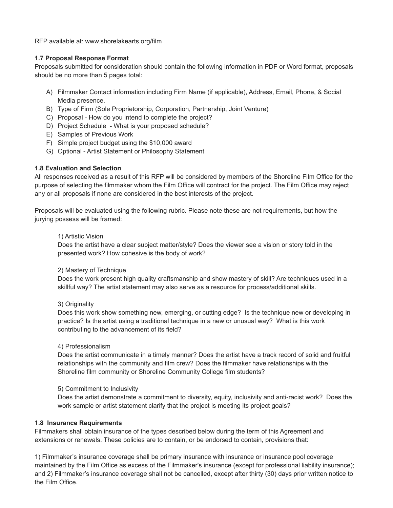RFP available at: www.shorelakearts.org/film

### **1.7 Proposal Response Format**

Proposals submitted for consideration should contain the following information in PDF or Word format, proposals should be no more than 5 pages total:

- A) Filmmaker Contact information including Firm Name (if applicable), Address, Email, Phone, & Social Media presence.
- B) Type of Firm (Sole Proprietorship, Corporation, Partnership, Joint Venture)
- C) Proposal How do you intend to complete the project?
- D) Project Schedule What is your proposed schedule?
- E) Samples of Previous Work
- F) Simple project budget using the \$10,000 award
- G) Optional Artist Statement or Philosophy Statement

### **1.8 Evaluation and Selection**

All responses received as a result of this RFP will be considered by members of the Shoreline Film Office for the purpose of selecting the filmmaker whom the Film Office will contract for the project. The Film Office may reject any or all proposals if none are considered in the best interests of the project.

Proposals will be evaluated using the following rubric. Please note these are not requirements, but how the jurying possess will be framed:

#### 1) Artistic Vision

Does the artist have a clear subject matter/style? Does the viewer see a vision or story told in the presented work? How cohesive is the body of work?

### 2) Mastery of Technique

Does the work present high quality craftsmanship and show mastery of skill? Are techniques used in a skillful way? The artist statement may also serve as a resource for process/additional skills.

### 3) Originality

Does this work show something new, emerging, or cutting edge? Is the technique new or developing in practice? Is the artist using a traditional technique in a new or unusual way? What is this work contributing to the advancement of its field?

#### 4) Professionalism

Does the artist communicate in a timely manner? Does the artist have a track record of solid and fruitful relationships with the community and film crew? Does the filmmaker have relationships with the Shoreline film community or Shoreline Community College film students?

### 5) Commitment to Inclusivity

Does the artist demonstrate a commitment to diversity, equity, inclusivity and anti-racist work? Does the work sample or artist statement clarify that the project is meeting its project goals?

### **1.8 Insurance Requirements**

Filmmakers shall obtain insurance of the types described below during the term of this Agreement and extensions or renewals. These policies are to contain, or be endorsed to contain, provisions that:

1) Filmmaker's insurance coverage shall be primary insurance with insurance or insurance pool coverage maintained by the Film Office as excess of the Filmmaker's insurance (except for professional liability insurance); and 2) Filmmaker's insurance coverage shall not be cancelled, except after thirty (30) days prior written notice to the Film Office.